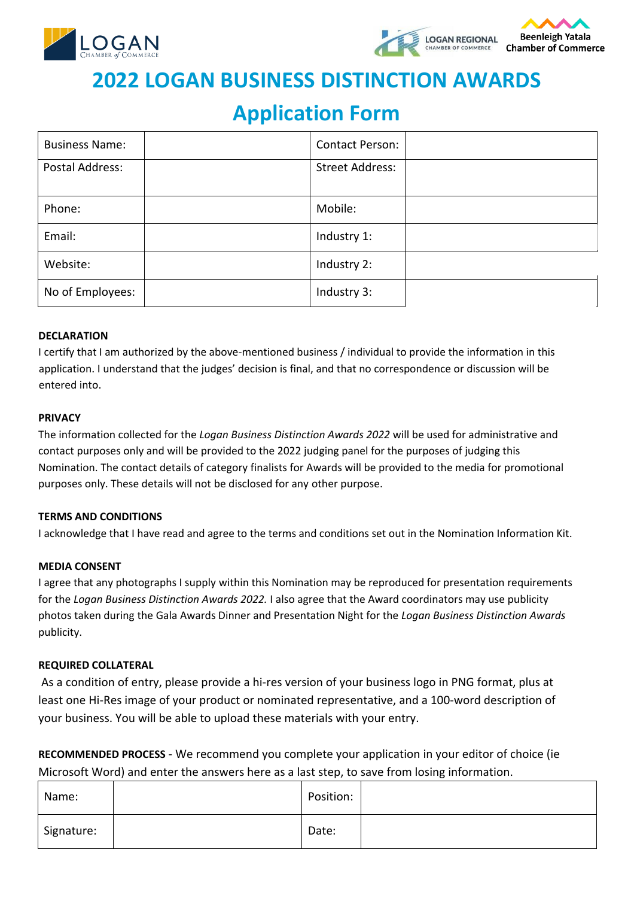



# **2022 LOGAN BUSINESS DISTINCTION AWARDS**

## **Application Form**

| <b>Business Name:</b> | <b>Contact Person:</b> |  |
|-----------------------|------------------------|--|
| Postal Address:       | <b>Street Address:</b> |  |
| Phone:                | Mobile:                |  |
| Email:                | Industry 1:            |  |
| Website:              | Industry 2:            |  |
| No of Employees:      | Industry 3:            |  |

#### **DECLARATION**

I certify that I am authorized by the above-mentioned business / individual to provide the information in this application. I understand that the judges' decision is final, and that no correspondence or discussion will be entered into.

#### **PRIVACY**

The information collected for the *Logan Business Distinction Awards 2022* will be used for administrative and contact purposes only and will be provided to the 2022 judging panel for the purposes of judging this Nomination. The contact details of category finalists for Awards will be provided to the media for promotional purposes only. These details will not be disclosed for any other purpose.

#### **TERMS AND CONDITIONS**

I acknowledge that I have read and agree to the terms and conditions set out in the Nomination Information Kit.

#### **MEDIA CONSENT**

I agree that any photographs I supply within this Nomination may be reproduced for presentation requirements for the *Logan Business Distinction Awards 2022.* I also agree that the Award coordinators may use publicity photos taken during the Gala Awards Dinner and Presentation Night for the *Logan Business Distinction Awards* publicity.

#### **REQUIRED COLLATERAL**

As a condition of entry, please provide a hi-res version of your business logo in PNG format, plus at least one Hi-Res image of your product or nominated representative, and a 100-word description of your business. You will be able to upload these materials with your entry.

**RECOMMENDED PROCESS** - We recommend you complete your application in your editor of choice (ie Microsoft Word) and enter the answers here as a last step, to save from losing information.

| Name:      | Position: |  |
|------------|-----------|--|
| Signature: | Date:     |  |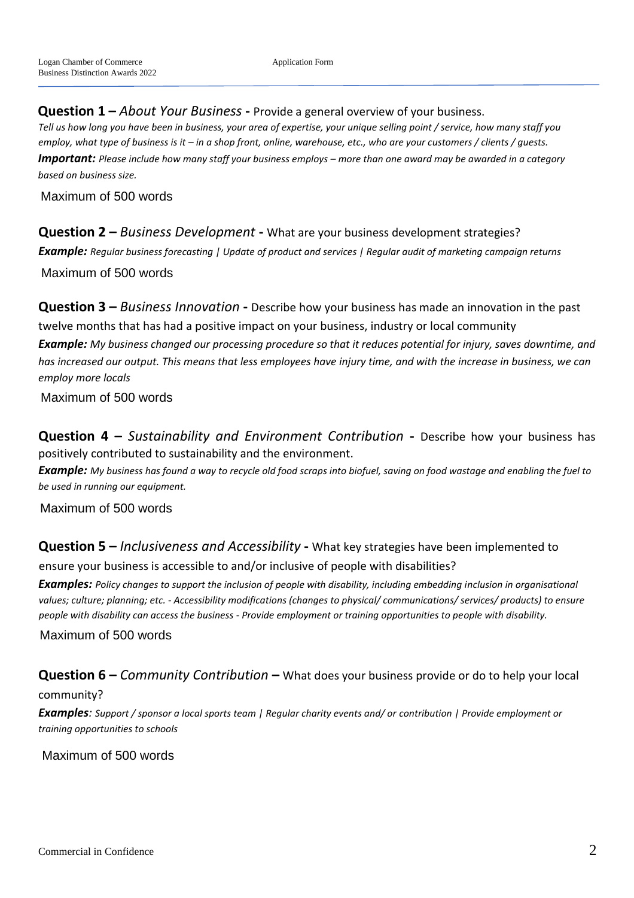**Question 1 –** *About Your Business* **-** Provide a general overview of your business.

*Tell us how long you have been in business, your area of expertise, your unique selling point / service, how many staff you employ, what type of business is it – in a shop front, online, warehouse, etc., who are your customers / clients / guests. Important: Please include how many staff your business employs – more than one award may be awarded in a category based on business size.*

Maximum of 500 words

**Question 2 –** *Business Development* **-** What are your business development strategies? *Example: Regular business forecasting | Update of product and services | Regular audit of marketing campaign returns* Maximum of 500 words

**Question 3 –** *Business Innovation* **-** Describe how your business has made an innovation in the past twelve months that has had a positive impact on your business, industry or local community *Example: My business changed our processing procedure so that it reduces potential for injury, saves downtime, and has increased our output. This means that less employees have injury time, and with the increase in business, we can employ more locals*

Maximum of 500 words

**Question 4 –** *Sustainability and Environment Contribution* **-** Describe how your business has positively contributed to sustainability and the environment.

*Example: My business has found a way to recycle old food scraps into biofuel, saving on food wastage and enabling the fuel to be used in running our equipment.*

Maximum of 500 words

**Question 5 –** *Inclusiveness and Accessibility* **-** What key strategies have been implemented to ensure your business is accessible to and/or inclusive of people with disabilities?

*Examples: Policy changes to support the inclusion of people with disability, including embedding inclusion in organisational values; culture; planning; etc. - Accessibility modifications (changes to physical/ communications/ services/ products) to ensure people with disability can access the business - Provide employment or training opportunities to people with disability.*

Maximum of 500 words

**Question 6 –** *Community Contribution* **–** What does your business provide or do to help your local

#### community?

*Examples: Support / sponsor a local sports team | Regular charity events and/ or contribution | Provide employment or training opportunities to schools*

Maximum of 500 words